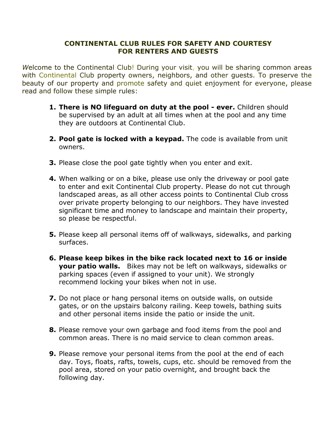## **CONTINENTAL CLUB RULES FOR SAFETY AND COURTESY FOR RENTERS AND GUESTS**

*W*elcome to the Continental Club! During your visit, you will be sharing common areas with Continental Club property owners, neighbors, and other quests. To preserve the beauty of our property and promote safety and quiet enjoyment for everyone, please read and follow these simple rules:

- **1. There is NO lifeguard on duty at the pool - ever.** Children should be supervised by an adult at all times when at the pool and any time they are outdoors at Continental Club.
- **2. Pool gate is locked with a keypad.** The code is available from unit owners.
- **3.** Please close the pool gate tightly when you enter and exit.
- **4.** When walking or on a bike, please use only the driveway or pool gate to enter and exit Continental Club property. Please do not cut through landscaped areas, as all other access points to Continental Club cross over private property belonging to our neighbors. They have invested significant time and money to landscape and maintain their property, so please be respectful.
- **5.** Please keep all personal items off of walkways, sidewalks, and parking surfaces.
- **6. Please keep bikes in the bike rack located next to 16 or inside your patio walls.** Bikes may not be left on walkways, sidewalks or parking spaces (even if assigned to your unit). We strongly recommend locking your bikes when not in use.
- **7.** Do not place or hang personal items on outside walls, on outside gates, or on the upstairs balcony railing. Keep towels, bathing suits and other personal items inside the patio or inside the unit.
- **8.** Please remove your own garbage and food items from the pool and common areas. There is no maid service to clean common areas.
- **9.** Please remove your personal items from the pool at the end of each day. Toys, floats, rafts, towels, cups, etc. should be removed from the pool area, stored on your patio overnight, and brought back the following day.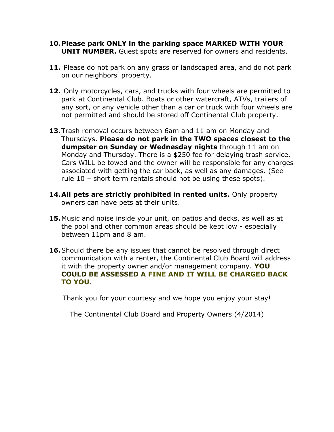- **10.Please park ONLY in the parking space MARKED WITH YOUR UNIT NUMBER.** Guest spots are reserved for owners and residents.
- **11.** Please do not park on any grass or landscaped area, and do not park on our neighbors' property.
- **12.** Only motorcycles, cars, and trucks with four wheels are permitted to park at Continental Club. Boats or other watercraft, ATVs, trailers of any sort, or any vehicle other than a car or truck with four wheels are not permitted and should be stored off Continental Club property.
- **13.**Trash removal occurs between 6am and 11 am on Monday and Thursdays. **Please do not park in the TWO spaces closest to the dumpster on Sunday or Wednesday nights** through 11 am on Monday and Thursday. There is a \$250 fee for delaying trash service. Cars WILL be towed and the owner will be responsible for any charges associated with getting the car back, as well as any damages. (See rule 10 – short term rentals should not be using these spots).
- **14.All pets are strictly prohibited in rented units.** Only property owners can have pets at their units.
- **15.**Music and noise inside your unit, on patios and decks, as well as at the pool and other common areas should be kept low - especially between 11pm and 8 am.
- **16.**Should there be any issues that cannot be resolved through direct communication with a renter, the Continental Club Board will address it with the property owner and/or management company. **YOU COULD BE ASSESSED A FINE AND IT WILL BE CHARGED BACK TO YOU.**

Thank you for your courtesy and we hope you enjoy your stay!

The Continental Club Board and Property Owners (4/2014)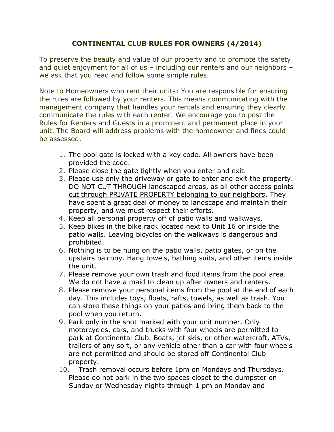## **CONTINENTAL CLUB RULES FOR OWNERS (4/2014)**

To preserve the beauty and value of our property and to promote the safety and quiet enjoyment for all of us – including our renters and our neighbors – we ask that you read and follow some simple rules.

Note to Homeowners who rent their units: You are responsible for ensuring the rules are followed by your renters. This means communicating with the management company that handles your rentals and ensuring they clearly communicate the rules with each renter. We encourage you to post the Rules for Renters and Guests in a prominent and permanent place in your unit. The Board will address problems with the homeowner and fines could be assessed.

- 1. The pool gate is locked with a key code. All owners have been provided the code.
- 2. Please close the gate tightly when you enter and exit.
- 3. Please use only the driveway or gate to enter and exit the property. DO NOT CUT THROUGH landscaped areas, as all other access points cut through PRIVATE PROPERTY belonging to our neighbors. They have spent a great deal of money to landscape and maintain their property, and we must respect their efforts.
- 4. Keep all personal property off of patio walls and walkways.
- 5. Keep bikes in the bike rack located next to Unit 16 or inside the patio walls. Leaving bicycles on the walkways is dangerous and prohibited.
- 6. Nothing is to be hung on the patio walls, patio gates, or on the upstairs balcony. Hang towels, bathing suits, and other items inside the unit.
- 7. Please remove your own trash and food items from the pool area. We do not have a maid to clean up after owners and renters.
- 8. Please remove your personal items from the pool at the end of each day. This includes toys, floats, rafts, towels, as well as trash. You can store these things on your patios and bring them back to the pool when you return.
- 9. Park only in the spot marked with your unit number. Only motorcycles, cars, and trucks with four wheels are permitted to park at Continental Club. Boats, jet skis, or other watercraft, ATVs, trailers of any sort, or any vehicle other than a car with four wheels are not permitted and should be stored off Continental Club property.
- 10. Trash removal occurs before 1pm on Mondays and Thursdays. Please do not park in the two spaces closet to the dumpster on Sunday or Wednesday nights through 1 pm on Monday and